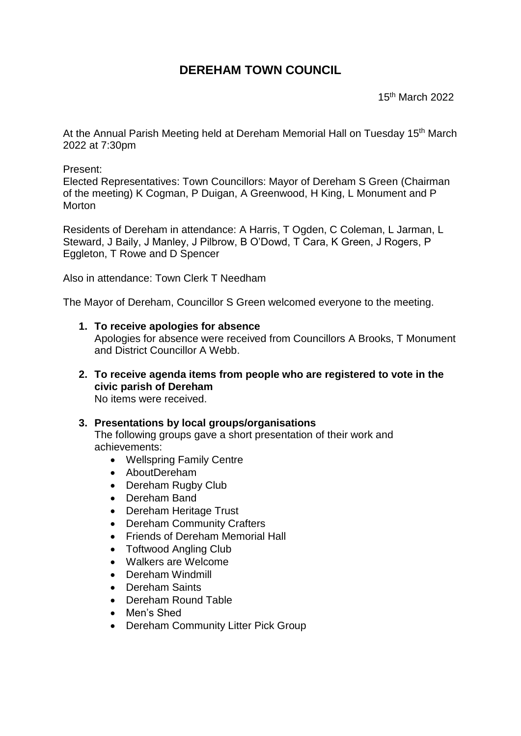## **DEREHAM TOWN COUNCIL**

15th March 2022

At the Annual Parish Meeting held at Dereham Memorial Hall on Tuesday 15<sup>th</sup> March 2022 at 7:30pm

Present:

Elected Representatives: Town Councillors: Mayor of Dereham S Green (Chairman of the meeting) K Cogman, P Duigan, A Greenwood, H King, L Monument and P **Morton** 

Residents of Dereham in attendance: A Harris, T Ogden, C Coleman, L Jarman, L Steward, J Baily, J Manley, J Pilbrow, B O'Dowd, T Cara, K Green, J Rogers, P Eggleton, T Rowe and D Spencer

Also in attendance: Town Clerk T Needham

The Mayor of Dereham, Councillor S Green welcomed everyone to the meeting.

- **1. To receive apologies for absence** Apologies for absence were received from Councillors A Brooks, T Monument and District Councillor A Webb.
- **2. To receive agenda items from people who are registered to vote in the civic parish of Dereham** No items were received.

## **3. Presentations by local groups/organisations**

The following groups gave a short presentation of their work and achievements:

- Wellspring Family Centre
- AboutDereham
- Dereham Rugby Club
- Dereham Band
- Dereham Heritage Trust
- Dereham Community Crafters
- Friends of Dereham Memorial Hall
- Toftwood Angling Club
- Walkers are Welcome
- Dereham Windmill
- Dereham Saints
- Dereham Round Table
- Men's Shed
- Dereham Community Litter Pick Group